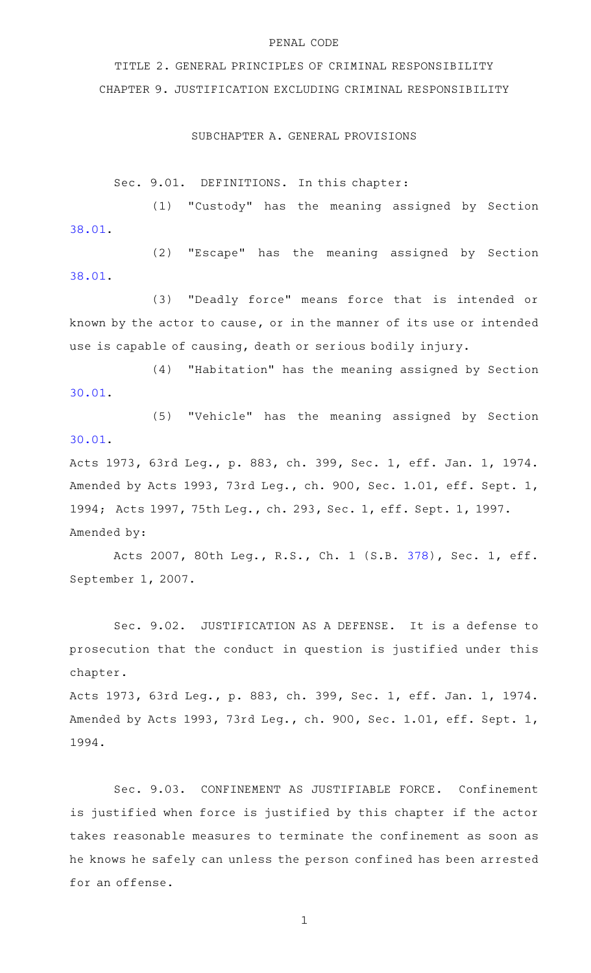# PENAL CODE

TITLE 2. GENERAL PRINCIPLES OF CRIMINAL RESPONSIBILITY CHAPTER 9. JUSTIFICATION EXCLUDING CRIMINAL RESPONSIBILITY

## SUBCHAPTER A. GENERAL PROVISIONS

Sec. 9.01. DEFINITIONS. In this chapter:

(1) "Custody" has the meaning assigned by Section [38.01.](http://www.statutes.legis.state.tx.us/GetStatute.aspx?Code=PE&Value=38.01)

(2) "Escape" has the meaning assigned by Section [38.01.](http://www.statutes.legis.state.tx.us/GetStatute.aspx?Code=PE&Value=38.01)

(3) "Deadly force" means force that is intended or known by the actor to cause, or in the manner of its use or intended use is capable of causing, death or serious bodily injury.

 $(4)$  "Habitation" has the meaning assigned by Section [30.01.](http://www.statutes.legis.state.tx.us/GetStatute.aspx?Code=PE&Value=30.01)

(5) "Vehicle" has the meaning assigned by Section [30.01.](http://www.statutes.legis.state.tx.us/GetStatute.aspx?Code=PE&Value=30.01)

Acts 1973, 63rd Leg., p. 883, ch. 399, Sec. 1, eff. Jan. 1, 1974. Amended by Acts 1993, 73rd Leg., ch. 900, Sec. 1.01, eff. Sept. 1, 1994; Acts 1997, 75th Leg., ch. 293, Sec. 1, eff. Sept. 1, 1997. Amended by:

Acts 2007, 80th Leg., R.S., Ch. 1 (S.B. [378](http://www.legis.state.tx.us/tlodocs/80R/billtext/html/SB00378F.HTM)), Sec. 1, eff. September 1, 2007.

Sec. 9.02. JUSTIFICATION AS A DEFENSE. It is a defense to prosecution that the conduct in question is justified under this chapter.

Acts 1973, 63rd Leg., p. 883, ch. 399, Sec. 1, eff. Jan. 1, 1974. Amended by Acts 1993, 73rd Leg., ch. 900, Sec. 1.01, eff. Sept. 1, 1994.

Sec. 9.03. CONFINEMENT AS JUSTIFIABLE FORCE. Confinement is justified when force is justified by this chapter if the actor takes reasonable measures to terminate the confinement as soon as he knows he safely can unless the person confined has been arrested for an offense.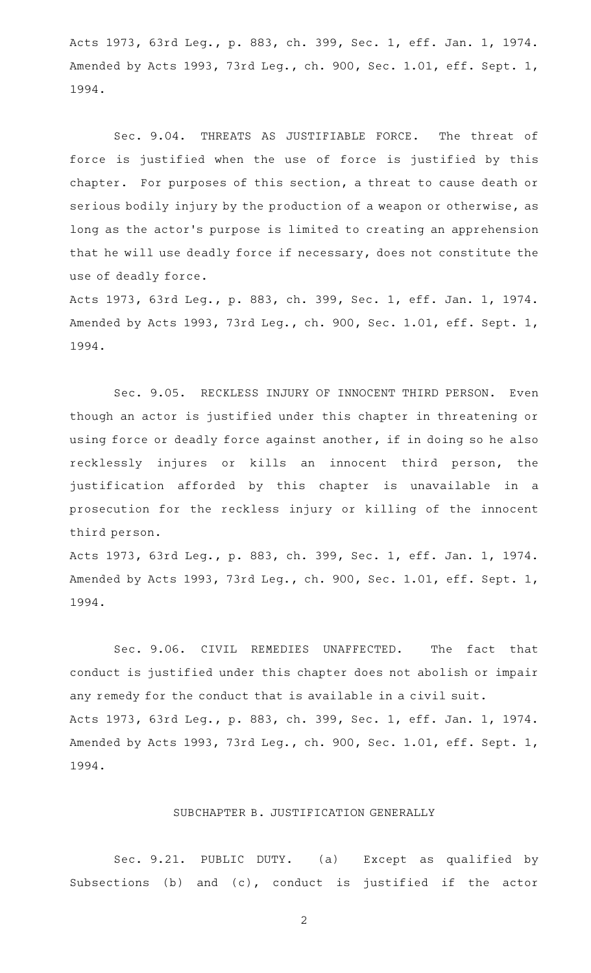Acts 1973, 63rd Leg., p. 883, ch. 399, Sec. 1, eff. Jan. 1, 1974. Amended by Acts 1993, 73rd Leg., ch. 900, Sec. 1.01, eff. Sept. 1, 1994.

Sec. 9.04. THREATS AS JUSTIFIABLE FORCE. The threat of force is justified when the use of force is justified by this chapter. For purposes of this section, a threat to cause death or serious bodily injury by the production of a weapon or otherwise, as long as the actor 's purpose is limited to creating an apprehension that he will use deadly force if necessary, does not constitute the use of deadly force.

Acts 1973, 63rd Leg., p. 883, ch. 399, Sec. 1, eff. Jan. 1, 1974. Amended by Acts 1993, 73rd Leg., ch. 900, Sec. 1.01, eff. Sept. 1, 1994.

Sec. 9.05. RECKLESS INJURY OF INNOCENT THIRD PERSON. Even though an actor is justified under this chapter in threatening or using force or deadly force against another, if in doing so he also recklessly injures or kills an innocent third person, the justification afforded by this chapter is unavailable in a prosecution for the reckless injury or killing of the innocent third person.

Acts 1973, 63rd Leg., p. 883, ch. 399, Sec. 1, eff. Jan. 1, 1974. Amended by Acts 1993, 73rd Leg., ch. 900, Sec. 1.01, eff. Sept. 1, 1994.

Sec. 9.06. CIVIL REMEDIES UNAFFECTED. The fact that conduct is justified under this chapter does not abolish or impair any remedy for the conduct that is available in a civil suit. Acts 1973, 63rd Leg., p. 883, ch. 399, Sec. 1, eff. Jan. 1, 1974. Amended by Acts 1993, 73rd Leg., ch. 900, Sec. 1.01, eff. Sept. 1, 1994.

# SUBCHAPTER B. JUSTIFICATION GENERALLY

Sec. 9.21. PUBLIC DUTY. (a) Except as qualified by Subsections (b) and (c), conduct is justified if the actor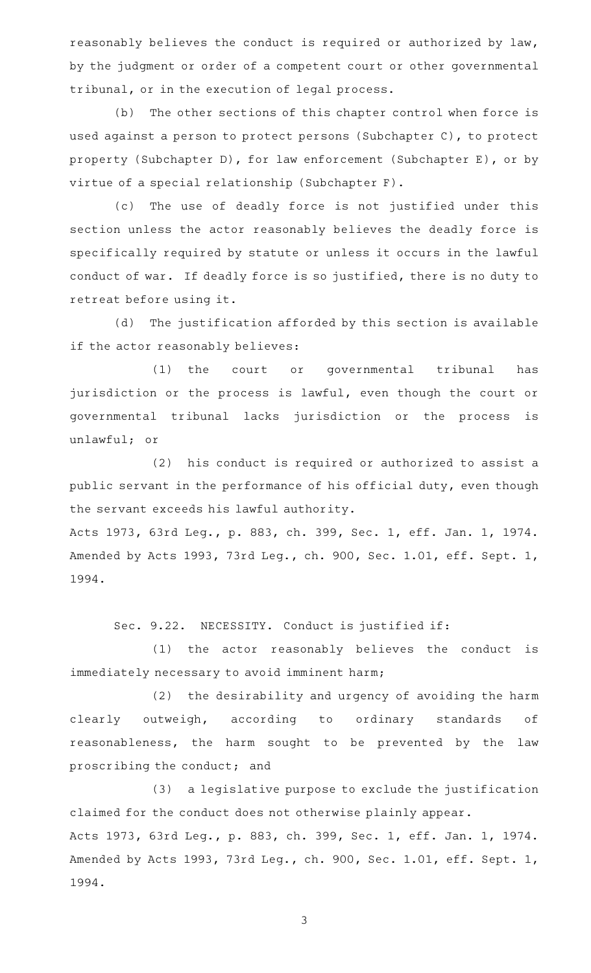reasonably believes the conduct is required or authorized by law, by the judgment or order of a competent court or other governmental tribunal, or in the execution of legal process.

(b) The other sections of this chapter control when force is used against a person to protect persons (Subchapter C), to protect property (Subchapter D), for law enforcement (Subchapter E), or by virtue of a special relationship (Subchapter F).

(c) The use of deadly force is not justified under this section unless the actor reasonably believes the deadly force is specifically required by statute or unless it occurs in the lawful conduct of war. If deadly force is so justified, there is no duty to retreat before using it.

(d) The justification afforded by this section is available if the actor reasonably believes:

(1) the court or governmental tribunal has jurisdiction or the process is lawful, even though the court or governmental tribunal lacks jurisdiction or the process is unlawful; or

(2) his conduct is required or authorized to assist a public servant in the performance of his official duty, even though the servant exceeds his lawful authority.

Acts 1973, 63rd Leg., p. 883, ch. 399, Sec. 1, eff. Jan. 1, 1974. Amended by Acts 1993, 73rd Leg., ch. 900, Sec. 1.01, eff. Sept. 1, 1994.

Sec. 9.22. NECESSITY. Conduct is justified if:

(1) the actor reasonably believes the conduct is immediately necessary to avoid imminent harm;

(2) the desirability and urgency of avoiding the harm clearly outweigh, according to ordinary standards of reasonableness, the harm sought to be prevented by the law proscribing the conduct; and

(3) a legislative purpose to exclude the justification claimed for the conduct does not otherwise plainly appear. Acts 1973, 63rd Leg., p. 883, ch. 399, Sec. 1, eff. Jan. 1, 1974. Amended by Acts 1993, 73rd Leg., ch. 900, Sec. 1.01, eff. Sept. 1, 1994.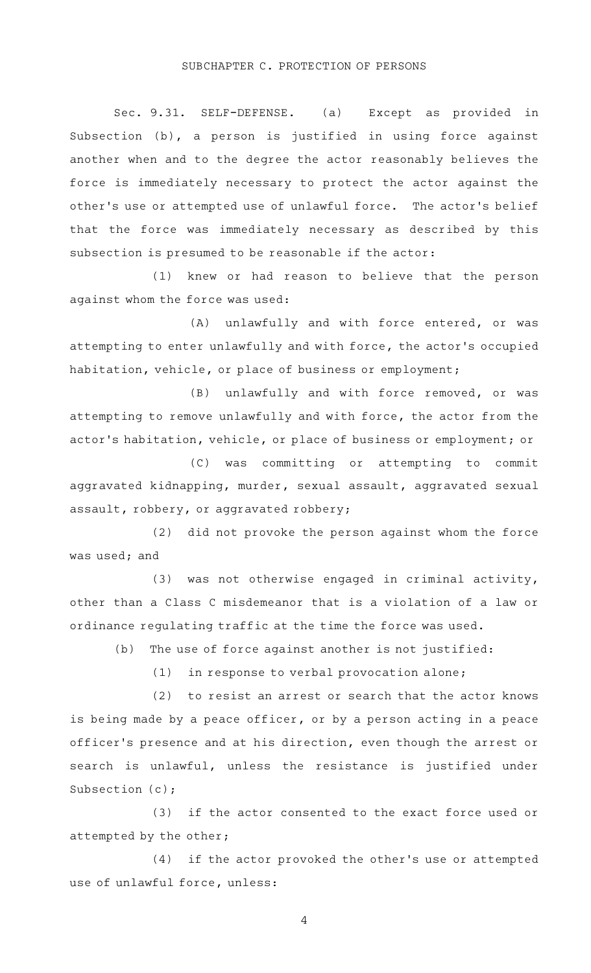#### SUBCHAPTER C. PROTECTION OF PERSONS

Sec. 9.31. SELF-DEFENSE. (a) Except as provided in Subsection (b), a person is justified in using force against another when and to the degree the actor reasonably believes the force is immediately necessary to protect the actor against the other's use or attempted use of unlawful force. The actor's belief that the force was immediately necessary as described by this subsection is presumed to be reasonable if the actor:

(1) knew or had reason to believe that the person against whom the force was used:

(A) unlawfully and with force entered, or was attempting to enter unlawfully and with force, the actor 's occupied habitation, vehicle, or place of business or employment;

(B) unlawfully and with force removed, or was attempting to remove unlawfully and with force, the actor from the actor 's habitation, vehicle, or place of business or employment; or

(C) was committing or attempting to commit aggravated kidnapping, murder, sexual assault, aggravated sexual assault, robbery, or aggravated robbery;

(2) did not provoke the person against whom the force was used; and

 $(3)$  was not otherwise engaged in criminal activity, other than a Class C misdemeanor that is a violation of a law or ordinance regulating traffic at the time the force was used.

 $(b)$  The use of force against another is not justified:

 $(1)$  in response to verbal provocation alone;

 $(2)$  to resist an arrest or search that the actor knows is being made by a peace officer, or by a person acting in a peace officer 's presence and at his direction, even though the arrest or search is unlawful, unless the resistance is justified under Subsection (c);

(3) if the actor consented to the exact force used or attempted by the other;

(4) if the actor provoked the other's use or attempted use of unlawful force, unless: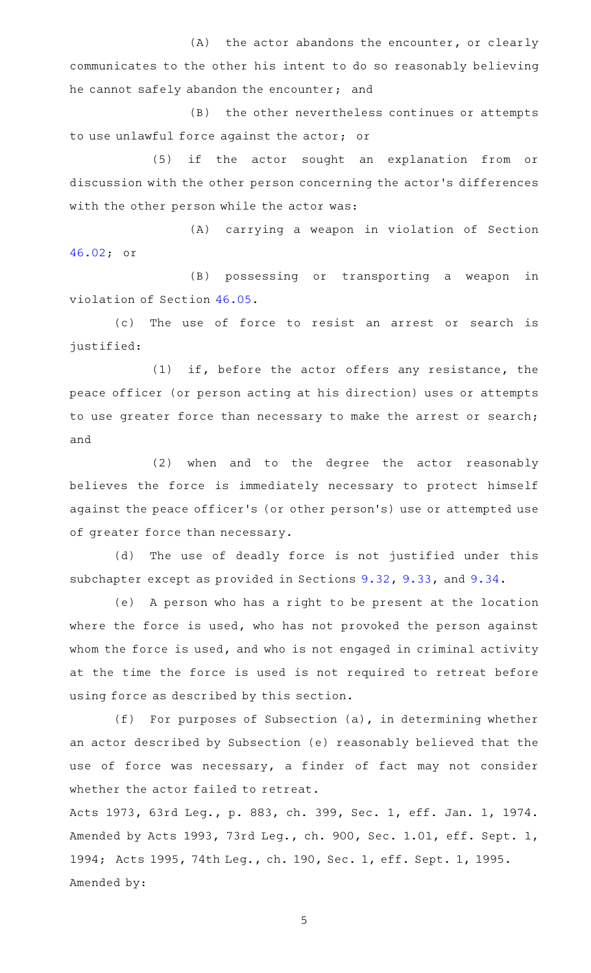$(A)$  the actor abandons the encounter, or clearly communicates to the other his intent to do so reasonably believing he cannot safely abandon the encounter; and

(B) the other nevertheless continues or attempts to use unlawful force against the actor; or

(5) if the actor sought an explanation from or discussion with the other person concerning the actor 's differences with the other person while the actor was:

(A) carrying a weapon in violation of Section [46.02;](http://www.statutes.legis.state.tx.us/GetStatute.aspx?Code=PE&Value=46.02) or

(B) possessing or transporting a weapon in violation of Section [46.05.](http://www.statutes.legis.state.tx.us/GetStatute.aspx?Code=PE&Value=46.05)

(c) The use of force to resist an arrest or search is justified:

 $(1)$  if, before the actor offers any resistance, the peace officer (or person acting at his direction) uses or attempts to use greater force than necessary to make the arrest or search; and

(2) when and to the degree the actor reasonably believes the force is immediately necessary to protect himself against the peace officer 's (or other person 's) use or attempted use of greater force than necessary.

(d) The use of deadly force is not justified under this subchapter except as provided in Sections [9.32](http://www.statutes.legis.state.tx.us/GetStatute.aspx?Code=PE&Value=9.32), [9.33,](http://www.statutes.legis.state.tx.us/GetStatute.aspx?Code=PE&Value=9.33) and [9.34](http://www.statutes.legis.state.tx.us/GetStatute.aspx?Code=PE&Value=9.34).

(e) A person who has a right to be present at the location where the force is used, who has not provoked the person against whom the force is used, and who is not engaged in criminal activity at the time the force is used is not required to retreat before using force as described by this section.

(f) For purposes of Subsection (a), in determining whether an actor described by Subsection (e) reasonably believed that the use of force was necessary, a finder of fact may not consider whether the actor failed to retreat.

Acts 1973, 63rd Leg., p. 883, ch. 399, Sec. 1, eff. Jan. 1, 1974. Amended by Acts 1993, 73rd Leg., ch. 900, Sec. 1.01, eff. Sept. 1, 1994; Acts 1995, 74th Leg., ch. 190, Sec. 1, eff. Sept. 1, 1995. Amended by: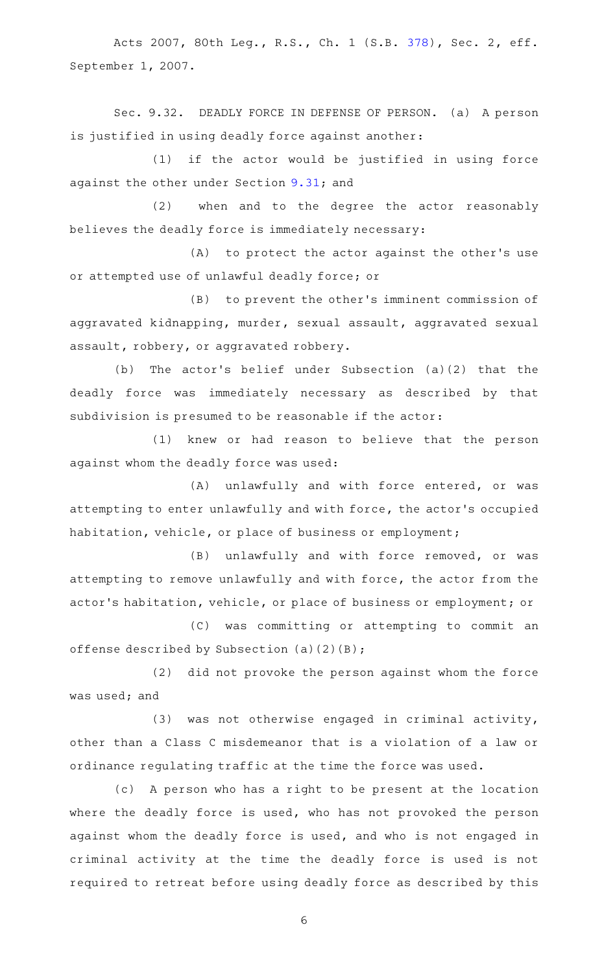Acts 2007, 80th Leg., R.S., Ch. 1 (S.B. [378](http://www.legis.state.tx.us/tlodocs/80R/billtext/html/SB00378F.HTM)), Sec. 2, eff. September 1, 2007.

Sec. 9.32. DEADLY FORCE IN DEFENSE OF PERSON. (a) A person is justified in using deadly force against another:

(1) if the actor would be justified in using force against the other under Section [9.31](http://www.statutes.legis.state.tx.us/GetStatute.aspx?Code=PE&Value=9.31); and

(2) when and to the degree the actor reasonably believes the deadly force is immediately necessary:

(A) to protect the actor against the other's use or attempted use of unlawful deadly force; or

(B) to prevent the other's imminent commission of aggravated kidnapping, murder, sexual assault, aggravated sexual assault, robbery, or aggravated robbery.

(b) The actor's belief under Subsection  $(a)(2)$  that the deadly force was immediately necessary as described by that subdivision is presumed to be reasonable if the actor:

(1) knew or had reason to believe that the person against whom the deadly force was used:

(A) unlawfully and with force entered, or was attempting to enter unlawfully and with force, the actor 's occupied habitation, vehicle, or place of business or employment;

(B) unlawfully and with force removed, or was attempting to remove unlawfully and with force, the actor from the actor 's habitation, vehicle, or place of business or employment; or

(C) was committing or attempting to commit an offense described by Subsection  $(a)(2)(B)$ ;

(2) did not provoke the person against whom the force was used; and

 $(3)$  was not otherwise engaged in criminal activity, other than a Class C misdemeanor that is a violation of a law or ordinance regulating traffic at the time the force was used.

(c) A person who has a right to be present at the location where the deadly force is used, who has not provoked the person against whom the deadly force is used, and who is not engaged in criminal activity at the time the deadly force is used is not required to retreat before using deadly force as described by this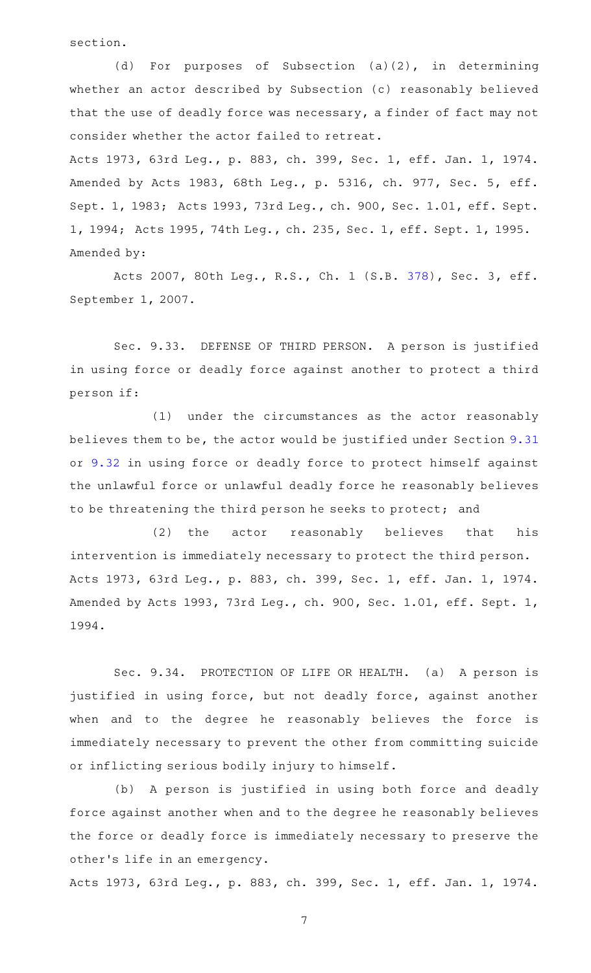section.

(d) For purposes of Subsection  $(a)(2)$ , in determining whether an actor described by Subsection (c) reasonably believed that the use of deadly force was necessary, a finder of fact may not consider whether the actor failed to retreat.

Acts 1973, 63rd Leg., p. 883, ch. 399, Sec. 1, eff. Jan. 1, 1974. Amended by Acts 1983, 68th Leg., p. 5316, ch. 977, Sec. 5, eff. Sept. 1, 1983; Acts 1993, 73rd Leg., ch. 900, Sec. 1.01, eff. Sept. 1, 1994; Acts 1995, 74th Leg., ch. 235, Sec. 1, eff. Sept. 1, 1995. Amended by:

Acts 2007, 80th Leg., R.S., Ch. 1 (S.B. [378](http://www.legis.state.tx.us/tlodocs/80R/billtext/html/SB00378F.HTM)), Sec. 3, eff. September 1, 2007.

Sec. 9.33. DEFENSE OF THIRD PERSON. A person is justified in using force or deadly force against another to protect a third person if:

(1) under the circumstances as the actor reasonably believes them to be, the actor would be justified under Section [9.31](http://www.statutes.legis.state.tx.us/GetStatute.aspx?Code=PE&Value=9.31) or [9.32](http://www.statutes.legis.state.tx.us/GetStatute.aspx?Code=PE&Value=9.32) in using force or deadly force to protect himself against the unlawful force or unlawful deadly force he reasonably believes to be threatening the third person he seeks to protect; and

(2) the actor reasonably believes that his intervention is immediately necessary to protect the third person. Acts 1973, 63rd Leg., p. 883, ch. 399, Sec. 1, eff. Jan. 1, 1974. Amended by Acts 1993, 73rd Leg., ch. 900, Sec. 1.01, eff. Sept. 1, 1994.

Sec. 9.34. PROTECTION OF LIFE OR HEALTH. (a) A person is justified in using force, but not deadly force, against another when and to the degree he reasonably believes the force is immediately necessary to prevent the other from committing suicide or inflicting serious bodily injury to himself.

(b) A person is justified in using both force and deadly force against another when and to the degree he reasonably believes the force or deadly force is immediately necessary to preserve the other 's life in an emergency.

Acts 1973, 63rd Leg., p. 883, ch. 399, Sec. 1, eff. Jan. 1, 1974.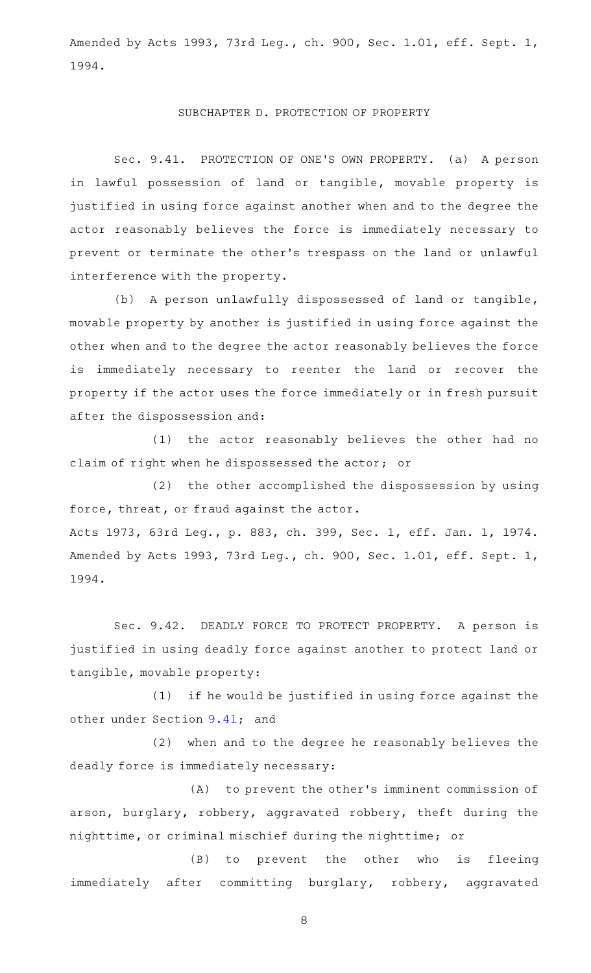Amended by Acts 1993, 73rd Leg., ch. 900, Sec. 1.01, eff. Sept. 1, 1994.

#### SUBCHAPTER D. PROTECTION OF PROPERTY

Sec. 9.41. PROTECTION OF ONE'S OWN PROPERTY. (a) A person in lawful possession of land or tangible, movable property is justified in using force against another when and to the degree the actor reasonably believes the force is immediately necessary to prevent or terminate the other 's trespass on the land or unlawful interference with the property.

(b) A person unlawfully dispossessed of land or tangible, movable property by another is justified in using force against the other when and to the degree the actor reasonably believes the force is immediately necessary to reenter the land or recover the property if the actor uses the force immediately or in fresh pursuit after the dispossession and:

(1) the actor reasonably believes the other had no claim of right when he dispossessed the actor; or

 $(2)$  the other accomplished the dispossession by using force, threat, or fraud against the actor. Acts 1973, 63rd Leg., p. 883, ch. 399, Sec. 1, eff. Jan. 1, 1974. Amended by Acts 1993, 73rd Leg., ch. 900, Sec. 1.01, eff. Sept. 1, 1994.

Sec. 9.42. DEADLY FORCE TO PROTECT PROPERTY. A person is justified in using deadly force against another to protect land or tangible, movable property:

(1) if he would be justified in using force against the other under Section [9.41;](http://www.statutes.legis.state.tx.us/GetStatute.aspx?Code=PE&Value=9.41) and

(2) when and to the degree he reasonably believes the deadly force is immediately necessary:

(A) to prevent the other's imminent commission of arson, burglary, robbery, aggravated robbery, theft during the nighttime, or criminal mischief during the nighttime; or

(B) to prevent the other who is fleeing immediately after committing burglary, robbery, aggravated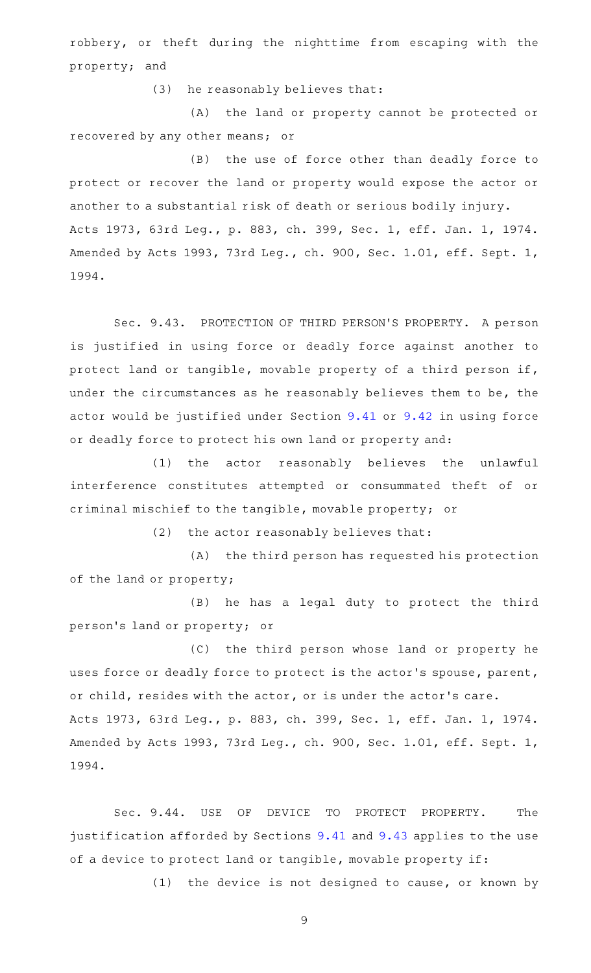robbery, or theft during the nighttime from escaping with the property; and

(3) he reasonably believes that:

(A) the land or property cannot be protected or recovered by any other means; or

(B) the use of force other than deadly force to protect or recover the land or property would expose the actor or another to a substantial risk of death or serious bodily injury. Acts 1973, 63rd Leg., p. 883, ch. 399, Sec. 1, eff. Jan. 1, 1974. Amended by Acts 1993, 73rd Leg., ch. 900, Sec. 1.01, eff. Sept. 1, 1994.

Sec. 9.43. PROTECTION OF THIRD PERSON'S PROPERTY. A person is justified in using force or deadly force against another to protect land or tangible, movable property of a third person if, under the circumstances as he reasonably believes them to be, the actor would be justified under Section [9.41](http://www.statutes.legis.state.tx.us/GetStatute.aspx?Code=PE&Value=9.41) or [9.42](http://www.statutes.legis.state.tx.us/GetStatute.aspx?Code=PE&Value=9.42) in using force or deadly force to protect his own land or property and:

(1) the actor reasonably believes the unlawful interference constitutes attempted or consummated theft of or criminal mischief to the tangible, movable property; or

 $(2)$  the actor reasonably believes that:

(A) the third person has requested his protection of the land or property;

(B) he has a legal duty to protect the third person 's land or property; or

(C) the third person whose land or property he uses force or deadly force to protect is the actor 's spouse, parent, or child, resides with the actor, or is under the actor 's care. Acts 1973, 63rd Leg., p. 883, ch. 399, Sec. 1, eff. Jan. 1, 1974. Amended by Acts 1993, 73rd Leg., ch. 900, Sec. 1.01, eff. Sept. 1, 1994.

Sec. 9.44. USE OF DEVICE TO PROTECT PROPERTY. The justification afforded by Sections [9.41](http://www.statutes.legis.state.tx.us/GetStatute.aspx?Code=PE&Value=9.41) and [9.43](http://www.statutes.legis.state.tx.us/GetStatute.aspx?Code=PE&Value=9.43) applies to the use of a device to protect land or tangible, movable property if:

 $(1)$  the device is not designed to cause, or known by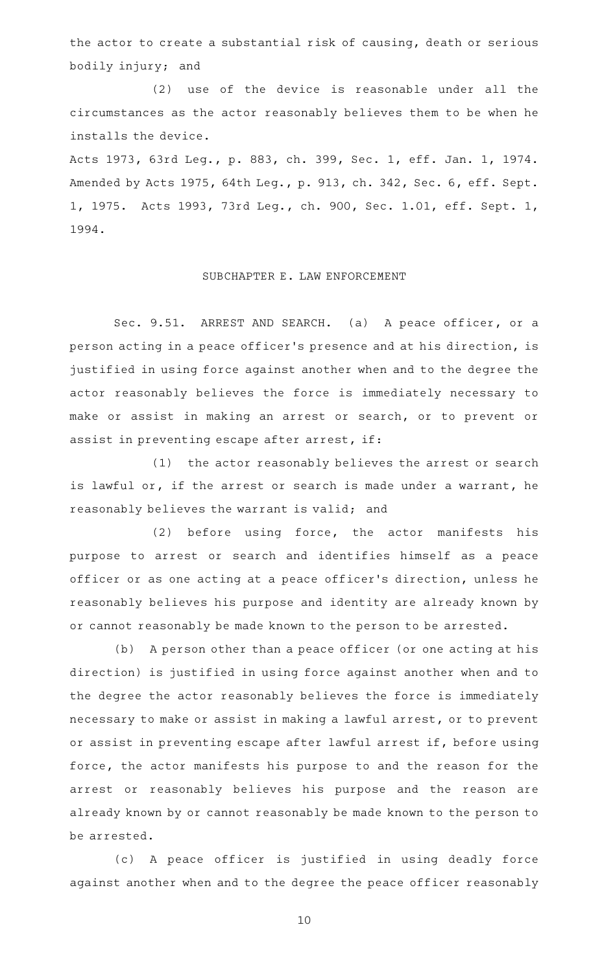the actor to create a substantial risk of causing, death or serious bodily injury; and

(2) use of the device is reasonable under all the circumstances as the actor reasonably believes them to be when he installs the device.

Acts 1973, 63rd Leg., p. 883, ch. 399, Sec. 1, eff. Jan. 1, 1974. Amended by Acts 1975, 64th Leg., p. 913, ch. 342, Sec. 6, eff. Sept. 1, 1975. Acts 1993, 73rd Leg., ch. 900, Sec. 1.01, eff. Sept. 1, 1994.

# SUBCHAPTER E. LAW ENFORCEMENT

Sec. 9.51. ARREST AND SEARCH. (a) A peace officer, or a person acting in a peace officer 's presence and at his direction, is justified in using force against another when and to the degree the actor reasonably believes the force is immediately necessary to make or assist in making an arrest or search, or to prevent or assist in preventing escape after arrest, if:

(1) the actor reasonably believes the arrest or search is lawful or, if the arrest or search is made under a warrant, he reasonably believes the warrant is valid; and

 $(2)$  before using force, the actor manifests his purpose to arrest or search and identifies himself as a peace officer or as one acting at a peace officer 's direction, unless he reasonably believes his purpose and identity are already known by or cannot reasonably be made known to the person to be arrested.

(b) A person other than a peace officer (or one acting at his direction) is justified in using force against another when and to the degree the actor reasonably believes the force is immediately necessary to make or assist in making a lawful arrest, or to prevent or assist in preventing escape after lawful arrest if, before using force, the actor manifests his purpose to and the reason for the arrest or reasonably believes his purpose and the reason are already known by or cannot reasonably be made known to the person to be arrested.

(c)AAA peace officer is justified in using deadly force against another when and to the degree the peace officer reasonably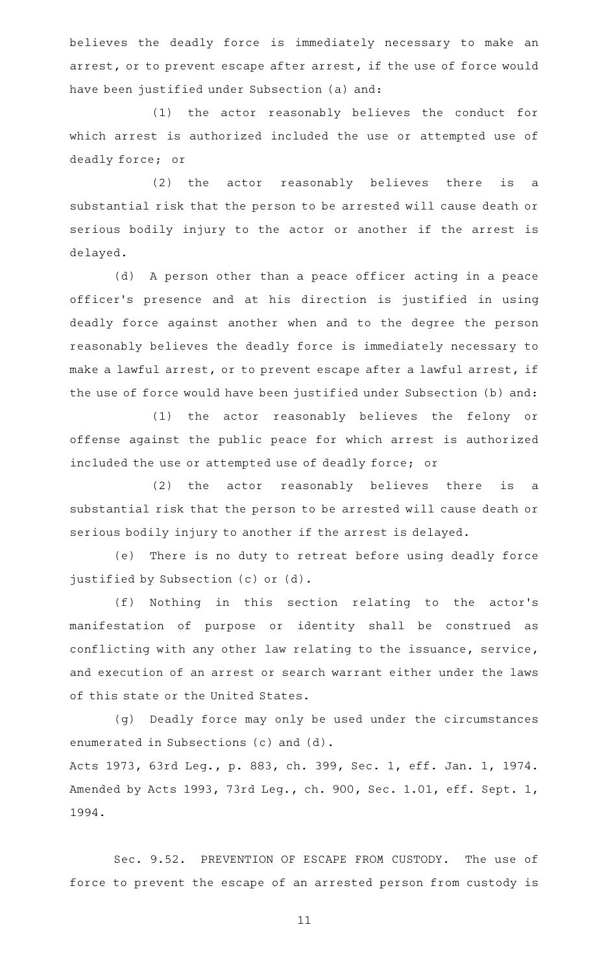believes the deadly force is immediately necessary to make an arrest, or to prevent escape after arrest, if the use of force would have been justified under Subsection (a) and:

(1) the actor reasonably believes the conduct for which arrest is authorized included the use or attempted use of deadly force; or

(2) the actor reasonably believes there is a substantial risk that the person to be arrested will cause death or serious bodily injury to the actor or another if the arrest is delayed.

(d) A person other than a peace officer acting in a peace officer 's presence and at his direction is justified in using deadly force against another when and to the degree the person reasonably believes the deadly force is immediately necessary to make a lawful arrest, or to prevent escape after a lawful arrest, if the use of force would have been justified under Subsection (b) and:

(1) the actor reasonably believes the felony or offense against the public peace for which arrest is authorized included the use or attempted use of deadly force; or

(2) the actor reasonably believes there is a substantial risk that the person to be arrested will cause death or serious bodily injury to another if the arrest is delayed.

(e) There is no duty to retreat before using deadly force justified by Subsection (c) or (d).

(f) Nothing in this section relating to the actor's manifestation of purpose or identity shall be construed as conflicting with any other law relating to the issuance, service, and execution of an arrest or search warrant either under the laws of this state or the United States.

(g) Deadly force may only be used under the circumstances enumerated in Subsections (c) and (d).

Acts 1973, 63rd Leg., p. 883, ch. 399, Sec. 1, eff. Jan. 1, 1974. Amended by Acts 1993, 73rd Leg., ch. 900, Sec. 1.01, eff. Sept. 1, 1994.

Sec. 9.52. PREVENTION OF ESCAPE FROM CUSTODY. The use of force to prevent the escape of an arrested person from custody is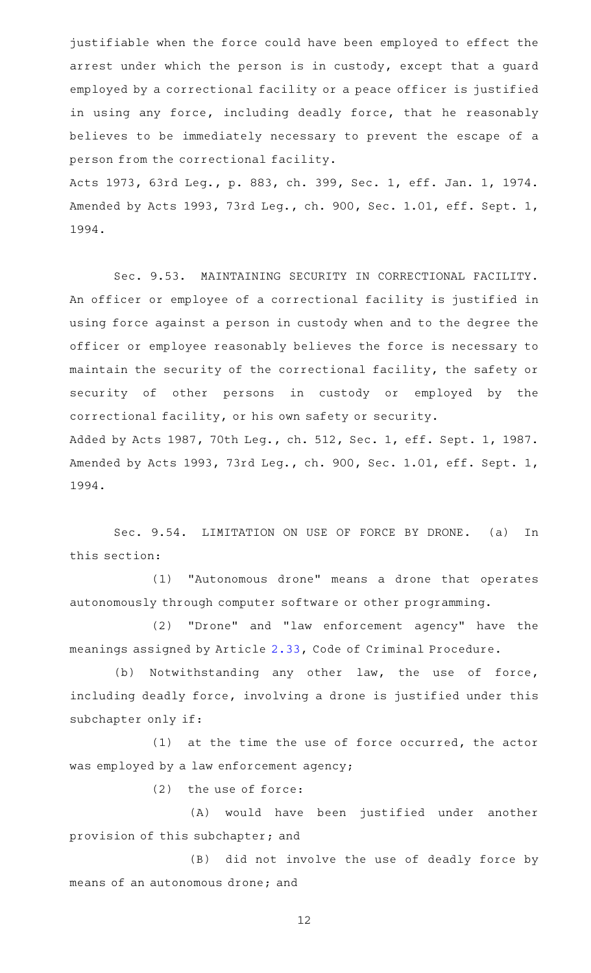justifiable when the force could have been employed to effect the arrest under which the person is in custody, except that a guard employed by a correctional facility or a peace officer is justified in using any force, including deadly force, that he reasonably believes to be immediately necessary to prevent the escape of a person from the correctional facility.

Acts 1973, 63rd Leg., p. 883, ch. 399, Sec. 1, eff. Jan. 1, 1974. Amended by Acts 1993, 73rd Leg., ch. 900, Sec. 1.01, eff. Sept. 1, 1994.

Sec. 9.53. MAINTAINING SECURITY IN CORRECTIONAL FACILITY. An officer or employee of a correctional facility is justified in using force against a person in custody when and to the degree the officer or employee reasonably believes the force is necessary to maintain the security of the correctional facility, the safety or security of other persons in custody or employed by the correctional facility, or his own safety or security. Added by Acts 1987, 70th Leg., ch. 512, Sec. 1, eff. Sept. 1, 1987. Amended by Acts 1993, 73rd Leg., ch. 900, Sec. 1.01, eff. Sept. 1, 1994.

Sec. 9.54. LIMITATION ON USE OF FORCE BY DRONE. (a) In this section:

(1) "Autonomous drone" means a drone that operates autonomously through computer software or other programming.

(2) "Drone" and "law enforcement agency" have the meanings assigned by Article [2.33](http://www.statutes.legis.state.tx.us/GetStatute.aspx?Code=CR&Value=2.33), Code of Criminal Procedure.

(b) Notwithstanding any other law, the use of force, including deadly force, involving a drone is justified under this subchapter only if:

 $(1)$  at the time the use of force occurred, the actor was employed by a law enforcement agency;

 $(2)$  the use of force:

(A) would have been justified under another provision of this subchapter; and

(B) did not involve the use of deadly force by means of an autonomous drone; and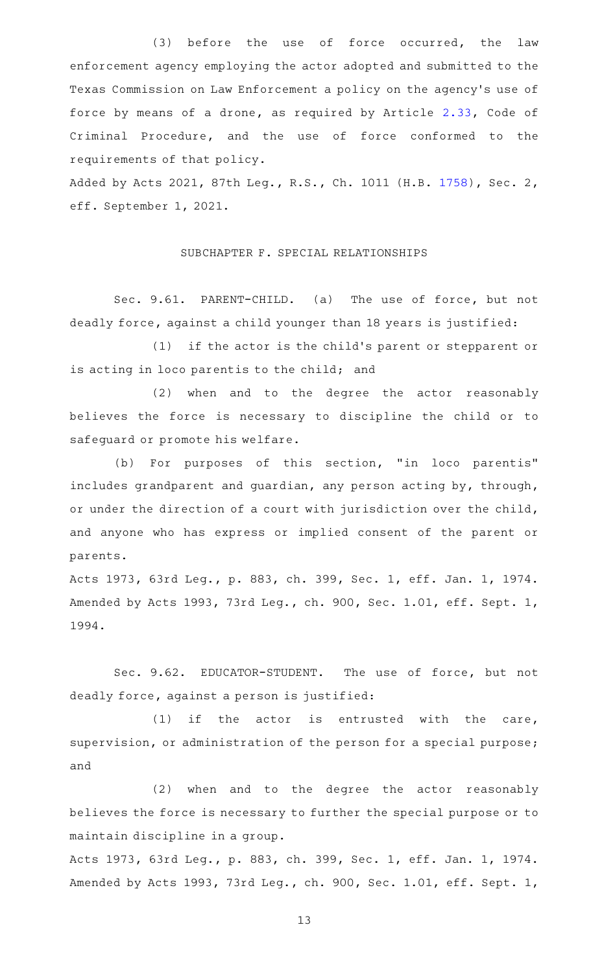(3) before the use of force occurred, the law enforcement agency employing the actor adopted and submitted to the Texas Commission on Law Enforcement a policy on the agency 's use of force by means of a drone, as required by Article [2.33](http://www.statutes.legis.state.tx.us/GetStatute.aspx?Code=CR&Value=2.33), Code of Criminal Procedure, and the use of force conformed to the requirements of that policy.

Added by Acts 2021, 87th Leg., R.S., Ch. 1011 (H.B. [1758\)](http://www.legis.state.tx.us/tlodocs/87R/billtext/html/HB01758F.HTM), Sec. 2, eff. September 1, 2021.

SUBCHAPTER F. SPECIAL RELATIONSHIPS

Sec. 9.61. PARENT-CHILD. (a) The use of force, but not deadly force, against a child younger than 18 years is justified:

(1) if the actor is the child's parent or stepparent or is acting in loco parentis to the child; and

(2) when and to the degree the actor reasonably believes the force is necessary to discipline the child or to safeguard or promote his welfare.

(b) For purposes of this section, "in loco parentis" includes grandparent and guardian, any person acting by, through, or under the direction of a court with jurisdiction over the child, and anyone who has express or implied consent of the parent or parents.

Acts 1973, 63rd Leg., p. 883, ch. 399, Sec. 1, eff. Jan. 1, 1974. Amended by Acts 1993, 73rd Leg., ch. 900, Sec. 1.01, eff. Sept. 1, 1994.

Sec. 9.62. EDUCATOR-STUDENT. The use of force, but not deadly force, against a person is justified:

 $(1)$  if the actor is entrusted with the care, supervision, or administration of the person for a special purpose; and

(2) when and to the degree the actor reasonably believes the force is necessary to further the special purpose or to maintain discipline in a group.

Acts 1973, 63rd Leg., p. 883, ch. 399, Sec. 1, eff. Jan. 1, 1974. Amended by Acts 1993, 73rd Leg., ch. 900, Sec. 1.01, eff. Sept. 1,